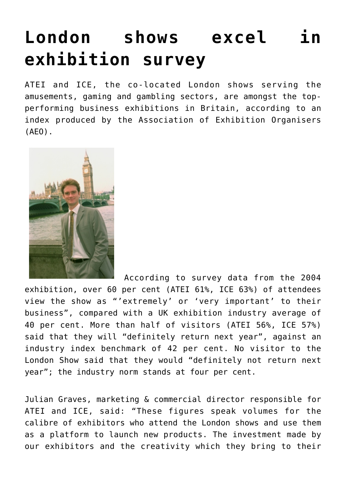## **[London shows excel in](https://www.isa-guide.de/english-news/articles/6711.html) [exhibition survey](https://www.isa-guide.de/english-news/articles/6711.html)**

ATEI and ICE, the co-located London shows serving the amusements, gaming and gambling sectors, are amongst the topperforming business exhibitions in Britain, according to an index produced by the Association of Exhibition Organisers (AEO).



 According to survey data from the 2004 exhibition, over 60 per cent (ATEI 61%, ICE 63%) of attendees view the show as "'extremely' or 'very important' to their business", compared with a UK exhibition industry average of 40 per cent. More than half of visitors (ATEI 56%, ICE 57%) said that they will "definitely return next year", against an industry index benchmark of 42 per cent. No visitor to the London Show said that they would "definitely not return next year"; the industry norm stands at four per cent.

Julian Graves, marketing & commercial director responsible for ATEI and ICE, said: "These figures speak volumes for the calibre of exhibitors who attend the London shows and use them as a platform to launch new products. The investment made by our exhibitors and the creativity which they bring to their